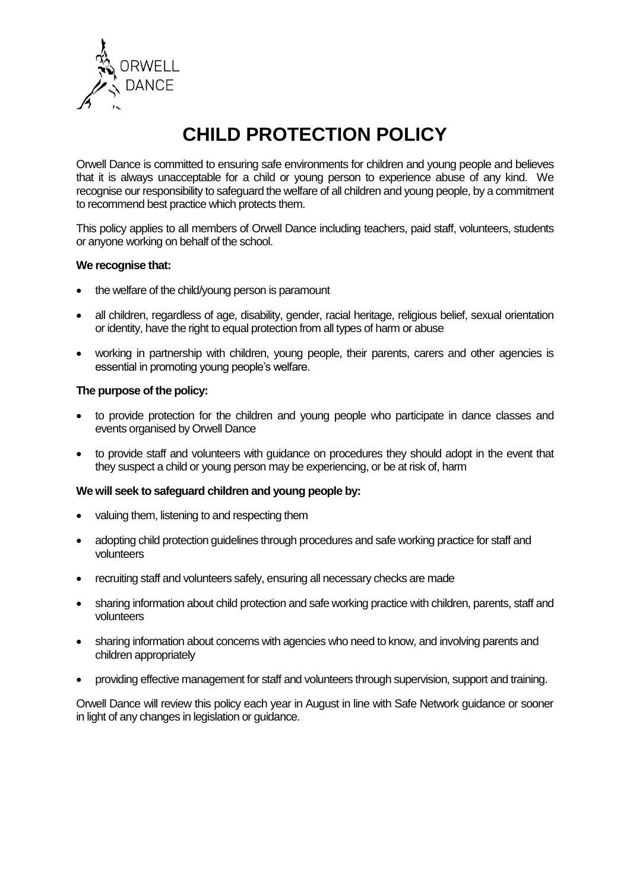

# **CHILD PROTECTION POLICY**

Orwell Dance is committed to ensuring safe environments for children and young people and believes that it is always unacceptable for a child or young person to experience abuse of any kind. We recognise our responsibility to safeguard the welfare of all children and young people, by a commitment to recommend best practice which protects them.

This policy applies to all members of Orwell Dance including teachers, paid staff, volunteers, students or anyone working on behalf of the school.

# **We recognise that:**

- the welfare of the child/young person is paramount
- all children, regardless of age, disability, gender, racial heritage, religious belief, sexual orientation or identity, have the right to equal protection from all types of harm or abuse
- working in partnership with children, young people, their parents, carers and other agencies is essential in promoting young people's welfare.

# **The purpose of the policy:**

- to provide protection for the children and young people who participate in dance classes and events organised by Orwell Dance
- to provide staff and volunteers with guidance on procedures they should adopt in the event that they suspect a child or young person may be experiencing, or be at risk of, harm

# **We will seek to safeguard children and young people by:**

- valuing them, listening to and respecting them
- adopting child protection guidelines through procedures and safe working practice for staff and volunteers
- recruiting staff and volunteers safely, ensuring all necessary checks are made
- sharing information about child protection and safe working practice with children, parents, staff and volunteers
- sharing information about concerns with agencies who need to know, and involving parents and children appropriately
- providing effective management for staff and volunteers through supervision, support and training.

Orwell Dance will review this policy each year in August in line with Safe Network guidance or sooner in light of any changes in legislation or guidance.